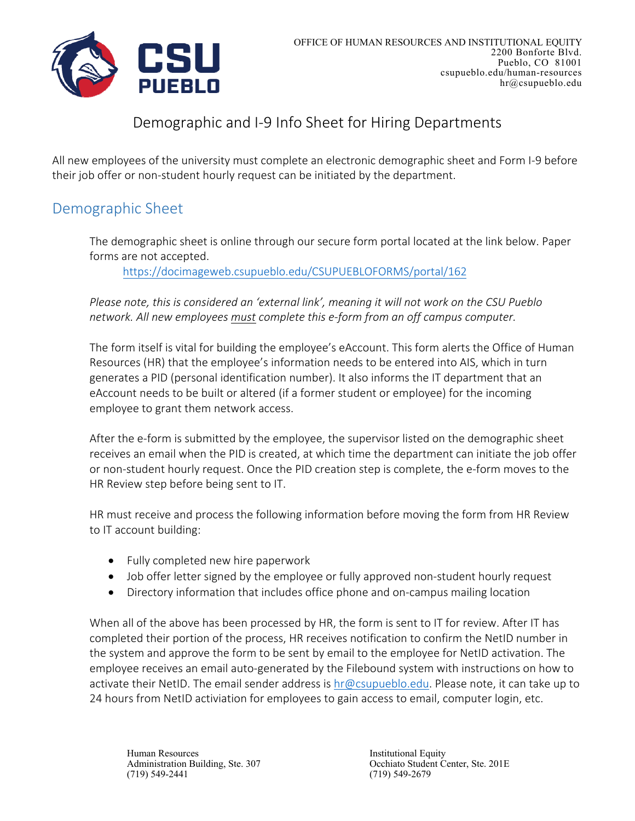

### Demographic and I‐9 Info Sheet for Hiring Departments

All new employees of the university must complete an electronic demographic sheet and Form I‐9 before their job offer or non‐student hourly request can be initiated by the department.

#### Demographic Sheet

The demographic sheet is online through our secure form portal located at the link below. Paper forms are not accepted.

https://docimageweb.csupueblo.edu/CSUPUEBLOFORMS/portal/162

*Please note, this is considered an 'external link', meaning it will not work on the CSU Pueblo network. All new employees must complete this e‐form from an off campus computer.*

The form itself is vital for building the employee's eAccount. This form alerts the Office of Human Resources (HR) that the employee's information needs to be entered into AIS, which in turn generates a PID (personal identification number). It also informs the IT department that an eAccount needs to be built or altered (if a former student or employee) for the incoming employee to grant them network access.

After the e-form is submitted by the employee, the supervisor listed on the demographic sheet receives an email when the PID is created, at which time the department can initiate the job offer or non‐student hourly request. Once the PID creation step is complete, the e‐form moves to the HR Review step before being sent to IT.

HR must receive and process the following information before moving the form from HR Review to IT account building:

- Fully completed new hire paperwork
- Job offer letter signed by the employee or fully approved non-student hourly request
- Directory information that includes office phone and on-campus mailing location

When all of the above has been processed by HR, the form is sent to IT for review. After IT has completed their portion of the process, HR receives notification to confirm the NetID number in the system and approve the form to be sent by email to the employee for NetID activation. The employee receives an email auto-generated by the Filebound system with instructions on how to activate their NetID. The email sender address is hr@csupueblo.edu. Please note, it can take up to 24 hours from NetID activiation for employees to gain access to email, computer login, etc.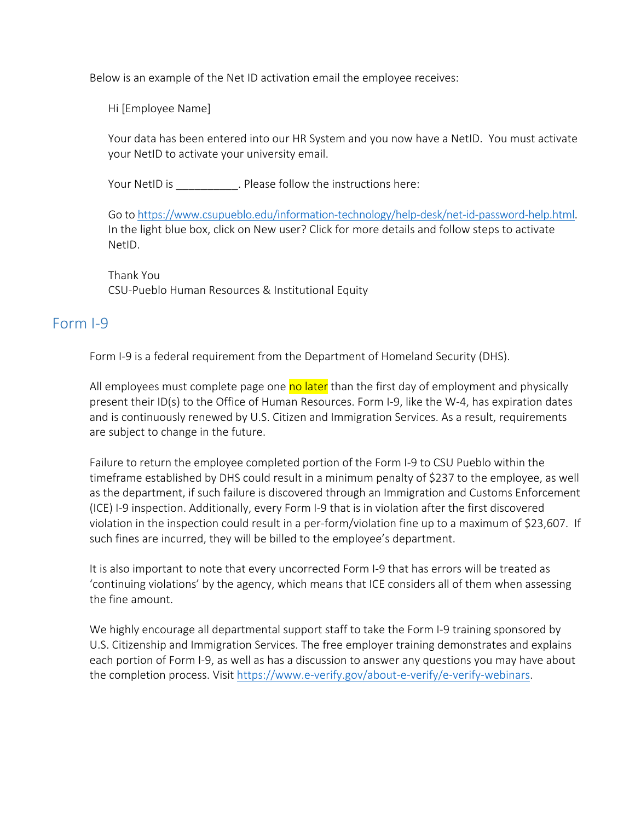Below is an example of the Net ID activation email the employee receives:

Hi [Employee Name]

Your data has been entered into our HR System and you now have a NetID. You must activate your NetID to activate your university email.

Your NetID is  $\qquad \qquad$  . Please follow the instructions here:

Go to https://www.csupueblo.edu/information‐technology/help‐desk/net‐id‐password‐help.html. In the light blue box, click on New user? Click for more details and follow steps to activate NetID.

Thank You CSU‐Pueblo Human Resources & Institutional Equity

#### Form I‐9

Form I-9 is a federal requirement from the Department of Homeland Security (DHS).

All employees must complete page one no later than the first day of employment and physically present their ID(s) to the Office of Human Resources. Form I‐9, like the W‐4, has expiration dates and is continuously renewed by U.S. Citizen and Immigration Services. As a result, requirements are subject to change in the future.

Failure to return the employee completed portion of the Form I‐9 to CSU Pueblo within the timeframe established by DHS could result in a minimum penalty of \$237 to the employee, as well as the department, if such failure is discovered through an Immigration and Customs Enforcement (ICE) I‐9 inspection. Additionally, every Form I‐9 that is in violation after the first discovered violation in the inspection could result in a per‐form/violation fine up to a maximum of \$23,607. If such fines are incurred, they will be billed to the employee's department.

It is also important to note that every uncorrected Form I‐9 that has errors will be treated as 'continuing violations' by the agency, which means that ICE considers all of them when assessing the fine amount.

We highly encourage all departmental support staff to take the Form I-9 training sponsored by U.S. Citizenship and Immigration Services. The free employer training demonstrates and explains each portion of Form I‐9, as well as has a discussion to answer any questions you may have about the completion process. Visit https://www.e-verify.gov/about-e-verify/e-verify-webinars.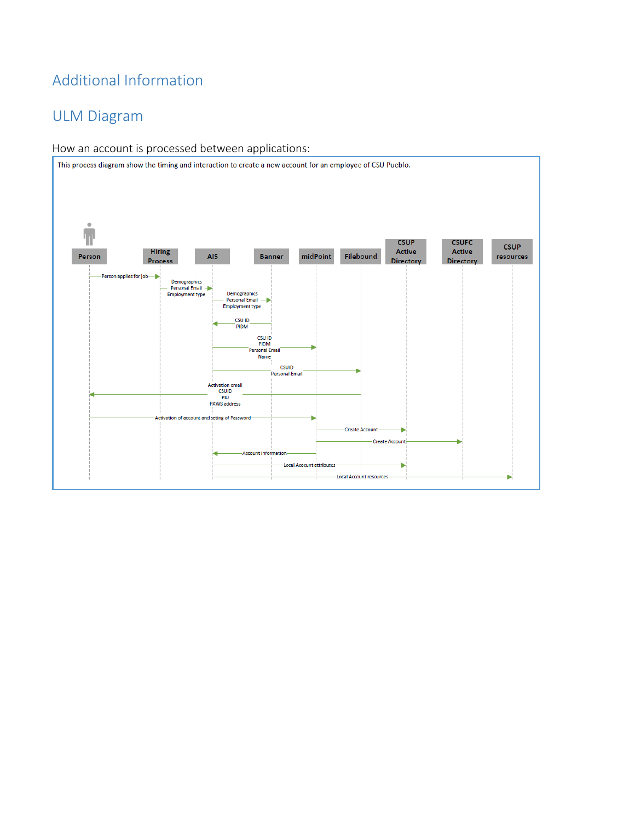# Additional Information

# ULM Diagram

#### How an account is processed between applications: